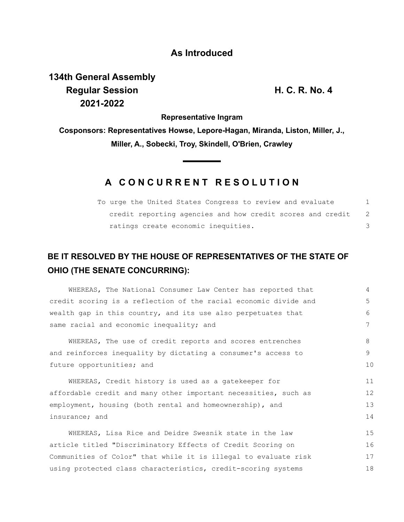## **As Introduced**

## **134th General Assembly Regular Session H. C. R. No. 4 2021-2022**

**Representative Ingram**

**Cosponsors: Representatives Howse, Lepore-Hagan, Miranda, Liston, Miller, J., Miller, A., Sobecki, Troy, Skindell, O'Brien, Crawley**

## **A C O N C U R R E N T R E S O L U T I O N**

| To urge the United States Congress to review and evaluate  |     |
|------------------------------------------------------------|-----|
| credit reporting agencies and how credit scores and credit | - 2 |
| ratings create economic inequities.                        |     |

## **BE IT RESOLVED BY THE HOUSE OF REPRESENTATIVES OF THE STATE OF OHIO (THE SENATE CONCURRING):**

| WHEREAS, The National Consumer Law Center has reported that      | 4  |
|------------------------------------------------------------------|----|
| credit scoring is a reflection of the racial economic divide and | 5  |
| wealth gap in this country, and its use also perpetuates that    | 6  |
| same racial and economic inequality; and                         |    |
| WHEREAS, The use of credit reports and scores entrenches         | 8  |
| and reinforces inequality by dictating a consumer's access to    | 9  |
| future opportunities; and                                        |    |
| WHEREAS, Credit history is used as a gatekeeper for              | 11 |
| affordable credit and many other important necessities, such as  |    |
| employment, housing (both rental and homeownership), and         | 13 |
| insurance; and                                                   |    |
| WHEREAS, Lisa Rice and Deidre Swesnik state in the law           | 15 |
| article titled "Discriminatory Effects of Credit Scoring on      | 16 |
| Communities of Color" that while it is illegal to evaluate risk  | 17 |
| using protected class characteristics, credit-scoring systems    | 18 |